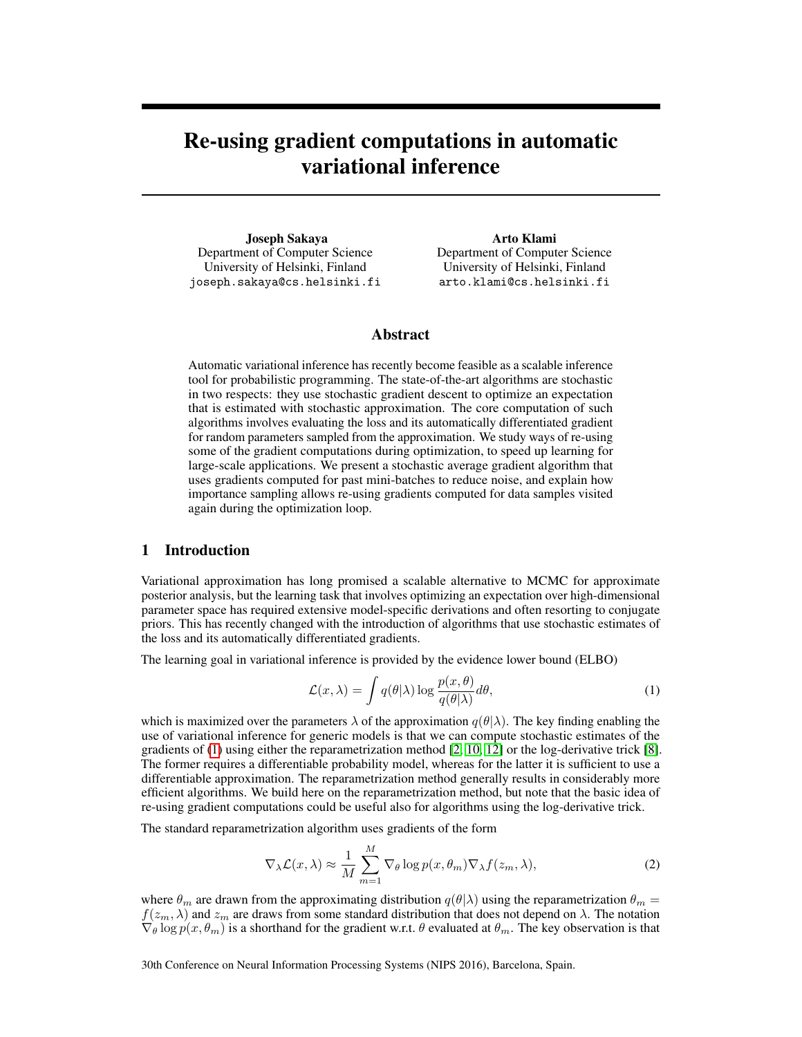# Re-using gradient computations in automatic variational inference

Joseph Sakaya Department of Computer Science University of Helsinki, Finland joseph.sakaya@cs.helsinki.fi Arto Klami

Department of Computer Science University of Helsinki, Finland arto.klami@cs.helsinki.fi

#### Abstract

Automatic variational inference has recently become feasible as a scalable inference tool for probabilistic programming. The state-of-the-art algorithms are stochastic in two respects: they use stochastic gradient descent to optimize an expectation that is estimated with stochastic approximation. The core computation of such algorithms involves evaluating the loss and its automatically differentiated gradient for random parameters sampled from the approximation. We study ways of re-using some of the gradient computations during optimization, to speed up learning for large-scale applications. We present a stochastic average gradient algorithm that uses gradients computed for past mini-batches to reduce noise, and explain how importance sampling allows re-using gradients computed for data samples visited again during the optimization loop.

#### 1 Introduction

Variational approximation has long promised a scalable alternative to MCMC for approximate posterior analysis, but the learning task that involves optimizing an expectation over high-dimensional parameter space has required extensive model-specific derivations and often resorting to conjugate priors. This has recently changed with the introduction of algorithms that use stochastic estimates of the loss and its automatically differentiated gradients.

The learning goal in variational inference is provided by the evidence lower bound (ELBO)

<span id="page-0-0"></span>
$$
\mathcal{L}(x,\lambda) = \int q(\theta|\lambda) \log \frac{p(x,\theta)}{q(\theta|\lambda)} d\theta,\tag{1}
$$

which is maximized over the parameters  $\lambda$  of the approximation  $q(\theta|\lambda)$ . The key finding enabling the use of variational inference for generic models is that we can compute stochastic estimates of the gradients of [\(1\)](#page-0-0) using either the reparametrization method [\[2,](#page-4-0) [10,](#page-4-1) [12\]](#page-4-2) or the log-derivative trick [\[8\]](#page-4-3). The former requires a differentiable probability model, whereas for the latter it is sufficient to use a differentiable approximation. The reparametrization method generally results in considerably more efficient algorithms. We build here on the reparametrization method, but note that the basic idea of re-using gradient computations could be useful also for algorithms using the log-derivative trick.

The standard reparametrization algorithm uses gradients of the form

<span id="page-0-1"></span>
$$
\nabla_{\lambda} \mathcal{L}(x, \lambda) \approx \frac{1}{M} \sum_{m=1}^{M} \nabla_{\theta} \log p(x, \theta_m) \nabla_{\lambda} f(z_m, \lambda), \tag{2}
$$

where  $\theta_m$  are drawn from the approximating distribution  $q(\theta|\lambda)$  using the reparametrization  $\theta_m =$  $f(z_m, \lambda)$  and  $z_m$  are draws from some standard distribution that does not depend on  $\lambda$ . The notation  $\nabla_{\theta} \log p(x, \theta_m)$  is a shorthand for the gradient w.r.t.  $\theta$  evaluated at  $\theta_m$ . The key observation is that

30th Conference on Neural Information Processing Systems (NIPS 2016), Barcelona, Spain.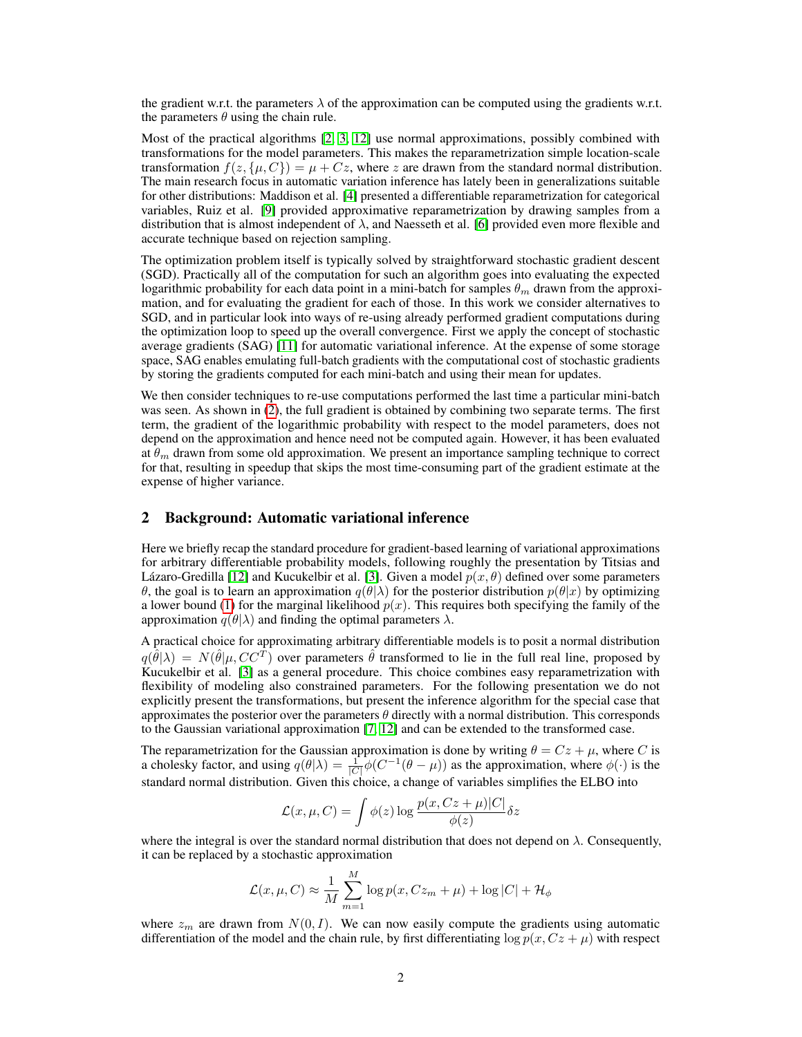the gradient w.r.t. the parameters  $\lambda$  of the approximation can be computed using the gradients w.r.t. the parameters  $\theta$  using the chain rule.

Most of the practical algorithms [\[2,](#page-4-0) [3,](#page-4-4) [12\]](#page-4-2) use normal approximations, possibly combined with transformations for the model parameters. This makes the reparametrization simple location-scale transformation  $f(z, \{\mu, C\}) = \mu + Cz$ , where z are drawn from the standard normal distribution. The main research focus in automatic variation inference has lately been in generalizations suitable for other distributions: Maddison et al. [\[4\]](#page-4-5) presented a differentiable reparametrization for categorical variables, Ruiz et al. [\[9\]](#page-4-6) provided approximative reparametrization by drawing samples from a distribution that is almost independent of  $\lambda$ , and Naesseth et al. [\[6\]](#page-4-7) provided even more flexible and accurate technique based on rejection sampling.

The optimization problem itself is typically solved by straightforward stochastic gradient descent (SGD). Practically all of the computation for such an algorithm goes into evaluating the expected logarithmic probability for each data point in a mini-batch for samples  $\theta_m$  drawn from the approximation, and for evaluating the gradient for each of those. In this work we consider alternatives to SGD, and in particular look into ways of re-using already performed gradient computations during the optimization loop to speed up the overall convergence. First we apply the concept of stochastic average gradients (SAG) [\[11\]](#page-4-8) for automatic variational inference. At the expense of some storage space, SAG enables emulating full-batch gradients with the computational cost of stochastic gradients by storing the gradients computed for each mini-batch and using their mean for updates.

We then consider techniques to re-use computations performed the last time a particular mini-batch was seen. As shown in [\(2\)](#page-0-1), the full gradient is obtained by combining two separate terms. The first term, the gradient of the logarithmic probability with respect to the model parameters, does not depend on the approximation and hence need not be computed again. However, it has been evaluated at  $\theta_m$  drawn from some old approximation. We present an importance sampling technique to correct for that, resulting in speedup that skips the most time-consuming part of the gradient estimate at the expense of higher variance.

### 2 Background: Automatic variational inference

Here we briefly recap the standard procedure for gradient-based learning of variational approximations for arbitrary differentiable probability models, following roughly the presentation by Titsias and Lázaro-Gredilla [\[12\]](#page-4-2) and Kucukelbir et al. [\[3\]](#page-4-4). Given a model  $p(x, \theta)$  defined over some parameters θ, the goal is to learn an approximation  $q(\theta|\lambda)$  for the posterior distribution  $p(\theta|x)$  by optimizing a lower bound [\(1\)](#page-0-0) for the marginal likelihood  $p(x)$ . This requires both specifying the family of the approximation  $q(\theta|\lambda)$  and finding the optimal parameters  $\lambda$ .

A practical choice for approximating arbitrary differentiable models is to posit a normal distribution  $q(\hat{\theta}|\lambda) = N(\hat{\theta}|\mu, CC^T)$  over parameters  $\hat{\theta}$  transformed to lie in the full real line, proposed by Kucukelbir et al. [\[3\]](#page-4-4) as a general procedure. This choice combines easy reparametrization with flexibility of modeling also constrained parameters. For the following presentation we do not explicitly present the transformations, but present the inference algorithm for the special case that approximates the posterior over the parameters  $\theta$  directly with a normal distribution. This corresponds to the Gaussian variational approximation [\[7,](#page-4-9) [12\]](#page-4-2) and can be extended to the transformed case.

The reparametrization for the Gaussian approximation is done by writing  $\theta = Cz + \mu$ , where C is a cholesky factor, and using  $q(\theta|\lambda) = \frac{1}{|C|} \phi(C^{-1}(\theta - \mu))$  as the approximation, where  $\phi(\cdot)$  is the standard normal distribution. Given this choice, a change of variables simplifies the ELBO into

$$
\mathcal{L}(x,\mu,C) = \int \phi(z) \log \frac{p(x,Cz+\mu)|C|}{\phi(z)} \delta z
$$

where the integral is over the standard normal distribution that does not depend on  $\lambda$ . Consequently, it can be replaced by a stochastic approximation

$$
\mathcal{L}(x,\mu,C) \approx \frac{1}{M} \sum_{m=1}^{M} \log p(x, Cz_m + \mu) + \log |C| + \mathcal{H}_{\phi}
$$

where  $z_m$  are drawn from  $N(0, I)$ . We can now easily compute the gradients using automatic differentiation of the model and the chain rule, by first differentiating  $\log p(x, Cz + \mu)$  with respect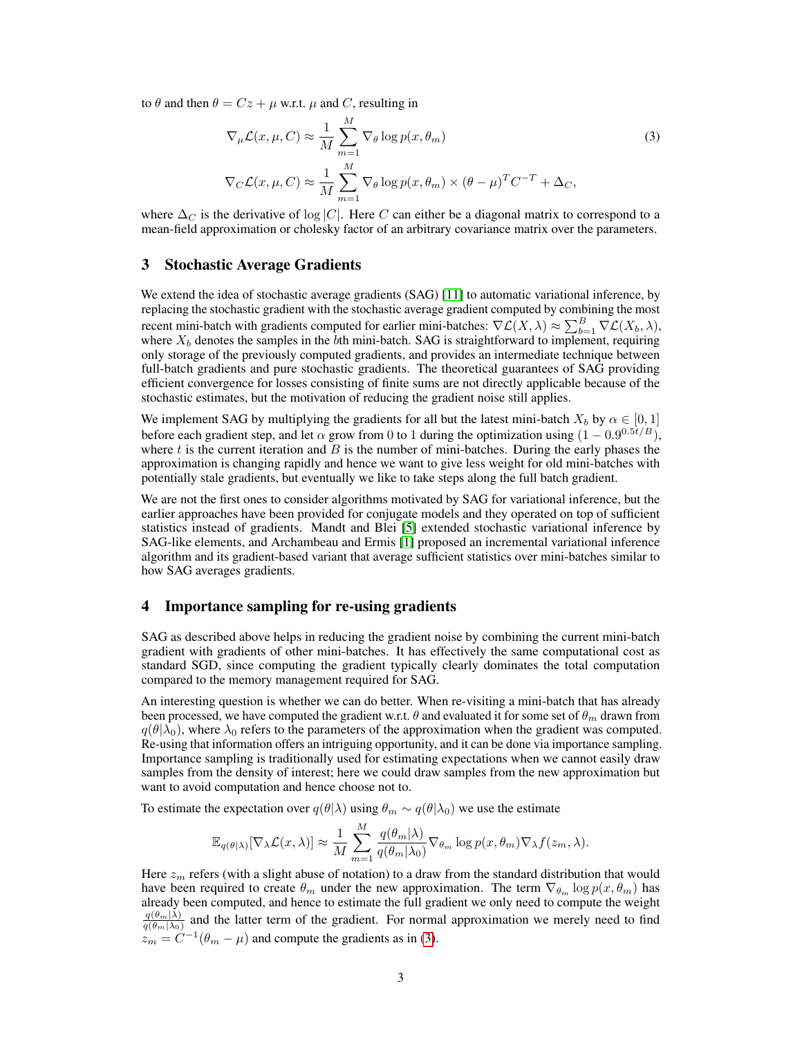to  $\theta$  and then  $\theta = Cz + \mu$  w.r.t.  $\mu$  and C, resulting in

<span id="page-2-0"></span>
$$
\nabla_{\mu} \mathcal{L}(x, \mu, C) \approx \frac{1}{M} \sum_{m=1}^{M} \nabla_{\theta} \log p(x, \theta_m)
$$
\n
$$
\nabla_{C} \mathcal{L}(x, \mu, C) \approx \frac{1}{M} \sum_{m=1}^{M} \nabla_{\theta} \log p(x, \theta_m) \times (\theta - \mu)^{T} C^{-T} + \Delta_{C},
$$
\n(3)

where  $\Delta_C$  is the derivative of log |C|. Here C can either be a diagonal matrix to correspond to a mean-field approximation or cholesky factor of an arbitrary covariance matrix over the parameters.

#### 3 Stochastic Average Gradients

We extend the idea of stochastic average gradients (SAG) [\[11\]](#page-4-8) to automatic variational inference, by replacing the stochastic gradient with the stochastic average gradient computed by combining the most recent mini-batch with gradients computed for earlier mini-batches:  $\nabla \mathcal{L}(X, \lambda) \approx \sum_{b=1}^{B} \nabla \mathcal{L}(X_b, \lambda),$ where  $X_b$  denotes the samples in the  $\bar{b}$ th mini-batch. SAG is straightforward to implement, requiring only storage of the previously computed gradients, and provides an intermediate technique between full-batch gradients and pure stochastic gradients. The theoretical guarantees of SAG providing efficient convergence for losses consisting of finite sums are not directly applicable because of the stochastic estimates, but the motivation of reducing the gradient noise still applies.

We implement SAG by multiplying the gradients for all but the latest mini-batch  $X_b$  by  $\alpha \in [0, 1]$ before each gradient step, and let  $\alpha$  grow from 0 to 1 during the optimization using  $(1 - 0.9^{0.5t/B})$ , where  $t$  is the current iteration and  $B$  is the number of mini-batches. During the early phases the approximation is changing rapidly and hence we want to give less weight for old mini-batches with potentially stale gradients, but eventually we like to take steps along the full batch gradient.

We are not the first ones to consider algorithms motivated by SAG for variational inference, but the earlier approaches have been provided for conjugate models and they operated on top of sufficient statistics instead of gradients. Mandt and Blei [\[5\]](#page-4-10) extended stochastic variational inference by SAG-like elements, and Archambeau and Ermis [\[1\]](#page-4-11) proposed an incremental variational inference algorithm and its gradient-based variant that average sufficient statistics over mini-batches similar to how SAG averages gradients.

#### 4 Importance sampling for re-using gradients

SAG as described above helps in reducing the gradient noise by combining the current mini-batch gradient with gradients of other mini-batches. It has effectively the same computational cost as standard SGD, since computing the gradient typically clearly dominates the total computation compared to the memory management required for SAG.

An interesting question is whether we can do better. When re-visiting a mini-batch that has already been processed, we have computed the gradient w.r.t.  $\theta$  and evaluated it for some set of  $\theta_m$  drawn from  $q(\theta|\lambda_0)$ , where  $\lambda_0$  refers to the parameters of the approximation when the gradient was computed. Re-using that information offers an intriguing opportunity, and it can be done via importance sampling. Importance sampling is traditionally used for estimating expectations when we cannot easily draw samples from the density of interest; here we could draw samples from the new approximation but want to avoid computation and hence choose not to.

To estimate the expectation over  $q(\theta|\lambda)$  using  $\theta_m \sim q(\theta|\lambda_0)$  we use the estimate

$$
\mathbb{E}_{q(\theta|\lambda)}[\nabla_{\lambda}\mathcal{L}(x,\lambda)] \approx \frac{1}{M}\sum_{m=1}^{M}\frac{q(\theta_m|\lambda)}{q(\theta_m|\lambda_0)}\nabla_{\theta_m}\log p(x,\theta_m)\nabla_{\lambda}f(z_m,\lambda).
$$

Here  $z_m$  refers (with a slight abuse of notation) to a draw from the standard distribution that would have been required to create  $\theta_m$  under the new approximation. The term  $\nabla_{\theta_m} \log p(x, \theta_m)$  has already been computed, and hence to estimate the full gradient we only need to compute the weight  $q(\theta_m|\lambda)$  $\frac{q(\theta_m|\lambda)}{q(\theta_m|\lambda_0)}$  and the latter term of the gradient. For normal approximation we merely need to find  $z_m = C^{-1}(\theta_m - \mu)$  and compute the gradients as in [\(3\)](#page-2-0).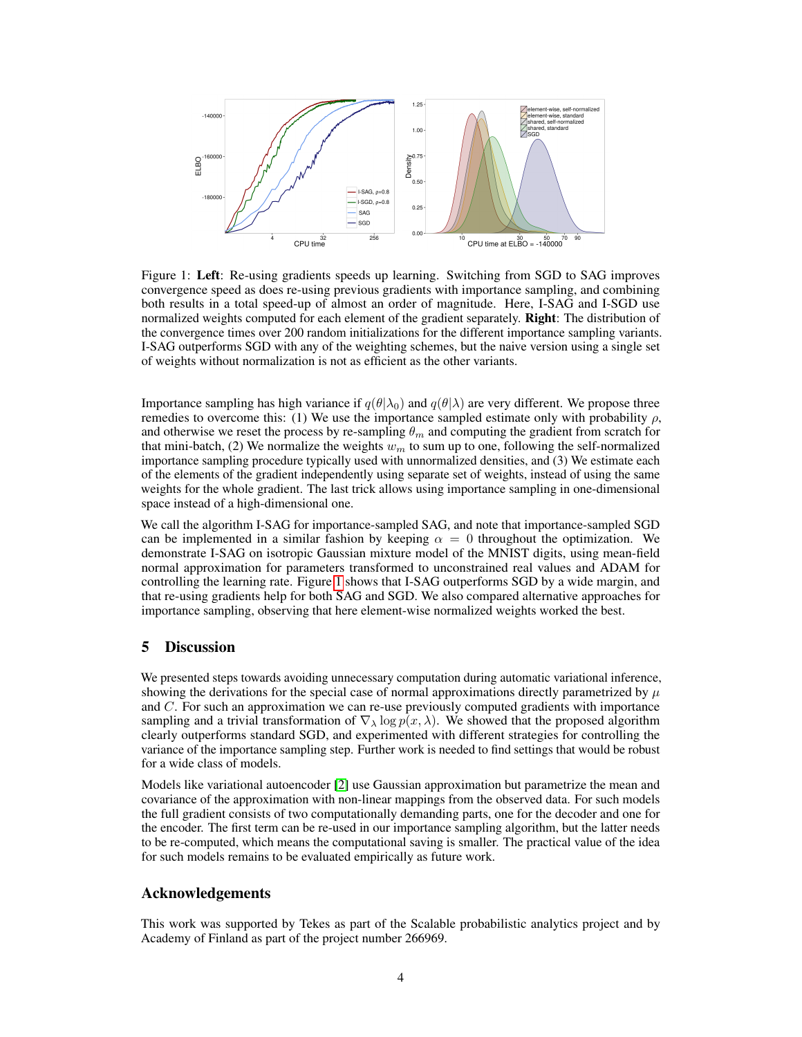

<span id="page-3-0"></span>Figure 1: Left: Re-using gradients speeds up learning. Switching from SGD to SAG improves convergence speed as does re-using previous gradients with importance sampling, and combining both results in a total speed-up of almost an order of magnitude. Here, I-SAG and I-SGD use normalized weights computed for each element of the gradient separately. Right: The distribution of the convergence times over 200 random initializations for the different importance sampling variants. I-SAG outperforms SGD with any of the weighting schemes, but the naive version using a single set of weights without normalization is not as efficient as the other variants.

Importance sampling has high variance if  $q(\theta|\lambda_0)$  and  $q(\theta|\lambda)$  are very different. We propose three remedies to overcome this: (1) We use the importance sampled estimate only with probability  $\rho$ , and otherwise we reset the process by re-sampling  $\theta_m$  and computing the gradient from scratch for that mini-batch, (2) We normalize the weights  $w_m$  to sum up to one, following the self-normalized importance sampling procedure typically used with unnormalized densities, and (3) We estimate each of the elements of the gradient independently using separate set of weights, instead of using the same weights for the whole gradient. The last trick allows using importance sampling in one-dimensional space instead of a high-dimensional one.

We call the algorithm I-SAG for importance-sampled SAG, and note that importance-sampled SGD can be implemented in a similar fashion by keeping  $\alpha = 0$  throughout the optimization. We demonstrate I-SAG on isotropic Gaussian mixture model of the MNIST digits, using mean-field normal approximation for parameters transformed to unconstrained real values and ADAM for controlling the learning rate. Figure [1](#page-3-0) shows that I-SAG outperforms SGD by a wide margin, and that re-using gradients help for both SAG and SGD. We also compared alternative approaches for importance sampling, observing that here element-wise normalized weights worked the best.

## 5 Discussion

We presented steps towards avoiding unnecessary computation during automatic variational inference, showing the derivations for the special case of normal approximations directly parametrized by  $\mu$ and C. For such an approximation we can re-use previously computed gradients with importance sampling and a trivial transformation of  $\nabla_{\lambda} \log p(x, \lambda)$ . We showed that the proposed algorithm clearly outperforms standard SGD, and experimented with different strategies for controlling the variance of the importance sampling step. Further work is needed to find settings that would be robust for a wide class of models.

Models like variational autoencoder [\[2\]](#page-4-0) use Gaussian approximation but parametrize the mean and covariance of the approximation with non-linear mappings from the observed data. For such models the full gradient consists of two computationally demanding parts, one for the decoder and one for the encoder. The first term can be re-used in our importance sampling algorithm, but the latter needs to be re-computed, which means the computational saving is smaller. The practical value of the idea for such models remains to be evaluated empirically as future work.

#### Acknowledgements

This work was supported by Tekes as part of the Scalable probabilistic analytics project and by Academy of Finland as part of the project number 266969.